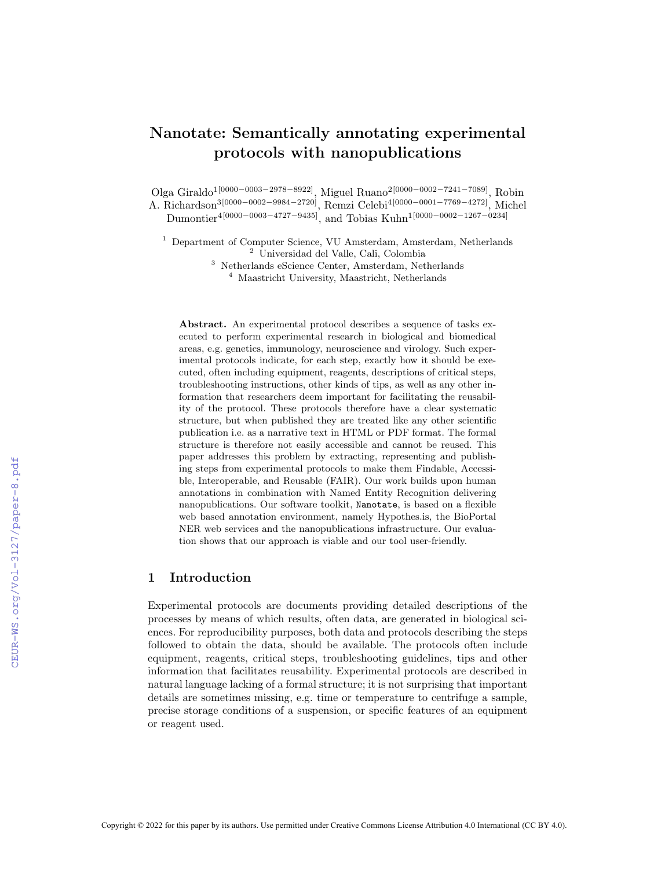# Nanotate: Semantically annotating experimental protocols with nanopublications

Olga Giraldo<sup>1</sup><sup>[0000-0003-2978-8922]</sup>, Miguel Ruano<sup>2</sup><sup>[0000-0002-7241-7089]</sup>, Robin A. Richardson<sup>3[0000-0002-9984-2720]</sup>, Remzi Celebi<sup>4[0000-0001-7769-4272]</sup>, Michel Dumontier<sup>4</sup>[0000-0003-4727-9435], and Tobias Kuhn<sup>1</sup>[0000-0002-1267-0234]

<sup>1</sup> Department of Computer Science, VU Amsterdam, Amsterdam, Netherlands <sup>2</sup> Universidad del Valle, Cali, Colombia

<sup>3</sup> Netherlands eScience Center, Amsterdam, Netherlands <sup>4</sup> Maastricht University, Maastricht, Netherlands

Abstract. An experimental protocol describes a sequence of tasks executed to perform experimental research in biological and biomedical areas, e.g. genetics, immunology, neuroscience and virology. Such experimental protocols indicate, for each step, exactly how it should be executed, often including equipment, reagents, descriptions of critical steps, troubleshooting instructions, other kinds of tips, as well as any other information that researchers deem important for facilitating the reusability of the protocol. These protocols therefore have a clear systematic structure, but when published they are treated like any other scientific publication i.e. as a narrative text in HTML or PDF format. The formal structure is therefore not easily accessible and cannot be reused. This paper addresses this problem by extracting, representing and publishing steps from experimental protocols to make them Findable, Accessible, Interoperable, and Reusable (FAIR). Our work builds upon human annotations in combination with Named Entity Recognition delivering nanopublications. Our software toolkit, Nanotate, is based on a flexible web based annotation environment, namely Hypothes.is, the BioPortal NER web services and the nanopublications infrastructure. Our evaluation shows that our approach is viable and our tool user-friendly.

# 1 Introduction

Experimental protocols are documents providing detailed descriptions of the processes by means of which results, often data, are generated in biological sciences. For reproducibility purposes, both data and protocols describing the steps followed to obtain the data, should be available. The protocols often include equipment, reagents, critical steps, troubleshooting guidelines, tips and other information that facilitates reusability. Experimental protocols are described in natural language lacking of a formal structure; it is not surprising that important details are sometimes missing, e.g. time or temperature to centrifuge a sample, precise storage conditions of a suspension, or specific features of an equipment or reagent used.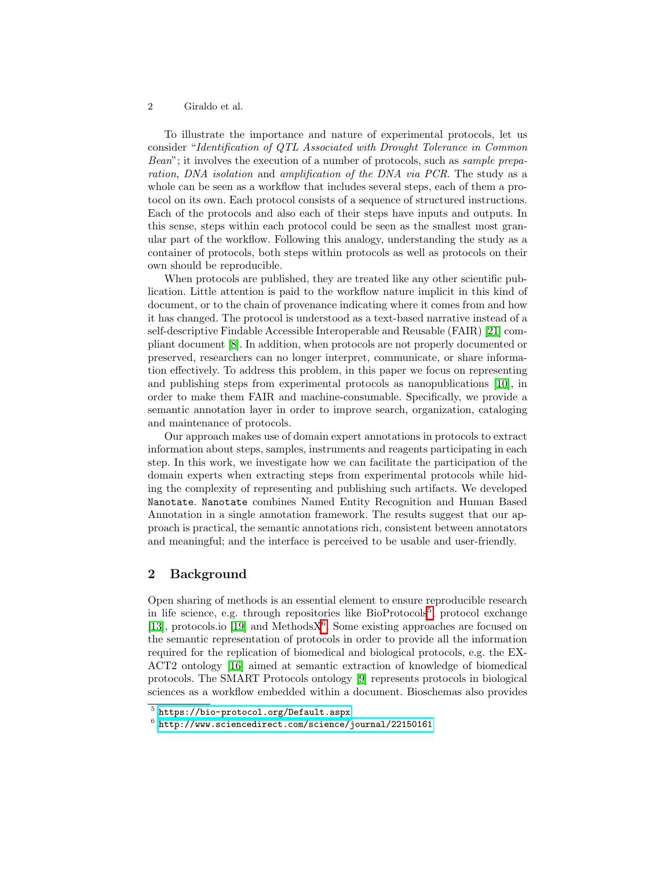### 2 Giraldo et al.

To illustrate the importance and nature of experimental protocols, let us consider "*Identification of QTL Associated with Drought Tolerance in Common Bean*"; it involves the execution of a number of protocols, such as *sample preparation*, *DNA isolation* and *amplification of the DNA via PCR*. The study as a whole can be seen as a workflow that includes several steps, each of them a protocol on its own. Each protocol consists of a sequence of structured instructions. Each of the protocols and also each of their steps have inputs and outputs. In this sense, steps within each protocol could be seen as the smallest most granular part of the workflow. Following this analogy, understanding the study as a container of protocols, both steps within protocols as well as protocols on their own should be reproducible.

When protocols are published, they are treated like any other scientific publication. Little attention is paid to the workflow nature implicit in this kind of document, or to the chain of provenance indicating where it comes from and how it has changed. The protocol is understood as a text-based narrative instead of a self-descriptive Findable Accessible Interoperable and Reusable (FAIR) [\[21\]](#page-9-0) compliant document [\[8\]](#page-9-1). In addition, when protocols are not properly documented or preserved, researchers can no longer interpret, communicate, or share information effectively. To address this problem, in this paper we focus on representing and publishing steps from experimental protocols as nanopublications [\[10\]](#page-9-2), in order to make them FAIR and machine-consumable. Specifically, we provide a semantic annotation layer in order to improve search, organization, cataloging and maintenance of protocols.

Our approach makes use of domain expert annotations in protocols to extract information about steps, samples, instruments and reagents participating in each step. In this work, we investigate how we can facilitate the participation of the domain experts when extracting steps from experimental protocols while hiding the complexity of representing and publishing such artifacts. We developed Nanotate. Nanotate combines Named Entity Recognition and Human Based Annotation in a single annotation framework. The results suggest that our approach is practical, the semantic annotations rich, consistent between annotators and meaningful; and the interface is perceived to be usable and user-friendly.

# 2 Background

Open sharing of methods is an essential element to ensure reproducible research in life science, e.g. through repositories like  $BioProtocols^5$  $BioProtocols^5$ , protocol exchange  $\boxed{13}$ , protocols.io  $\boxed{19}$  and Methods $X^6$  $X^6$ . Some existing approaches are focused on the semantic representation of protocols in order to provide all the information required for the replication of biomedical and biological protocols, e.g. the EX-ACT2 ontology [\[16\]](#page-9-5) aimed at semantic extraction of knowledge of biomedical protocols. The SMART Protocols ontology [\[9\]](#page-9-6) represents protocols in biological sciences as a workflow embedded within a document. Bioschemas also provides

<span id="page-1-0"></span><sup>5</sup> <https://bio-protocol.org/Default.aspx>

<span id="page-1-1"></span><sup>6</sup> <http://www.sciencedirect.com/science/journal/22150161>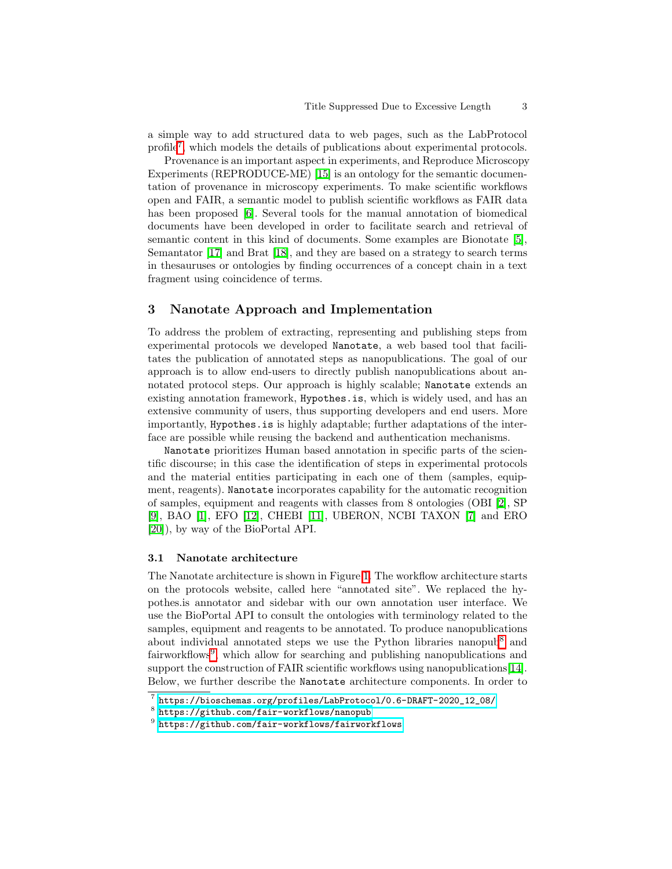a simple way to add structured data to web pages, such as the LabProtocol profile<sup>[7](#page-2-0)</sup>, which models the details of publications about experimental protocols.

Provenance is an important aspect in experiments, and Reproduce Microscopy Experiments (REPRODUCE-ME) **[\[15\]](#page-9-7)** is an ontology for the semantic documentation of provenance in microscopy experiments. To make scientific workflows open and FAIR, a semantic model to publish scientific workflows as FAIR data has been proposed **6**. Several tools for the manual annotation of biomedical documents have been developed in order to facilitate search and retrieval of semantic content in this kind of documents. Some examples are Bionotate [\[5\]](#page-8-1), Semantator  $\boxed{17}$  and Brat  $\boxed{18}$ , and they are based on a strategy to search terms in thesauruses or ontologies by finding occurrences of a concept chain in a text fragment using coincidence of terms.

# 3 Nanotate Approach and Implementation

To address the problem of extracting, representing and publishing steps from experimental protocols we developed Nanotate, a web based tool that facilitates the publication of annotated steps as nanopublications. The goal of our approach is to allow end-users to directly publish nanopublications about annotated protocol steps. Our approach is highly scalable; Nanotate extends an existing annotation framework, Hypothes.is, which is widely used, and has an extensive community of users, thus supporting developers and end users. More importantly, Hypothes.is is highly adaptable; further adaptations of the interface are possible while reusing the backend and authentication mechanisms.

Nanotate prioritizes Human based annotation in specific parts of the scientific discourse; in this case the identification of steps in experimental protocols and the material entities participating in each one of them (samples, equipment, reagents). Nanotate incorporates capability for the automatic recognition of samples, equipment and reagents with classes from 8 ontologies (OBI [\[2\]](#page-8-2), SP [\[9\]](#page-9-6), BAO [\[1\]](#page-8-3), EFO [\[12\]](#page-9-10), CHEBI [\[11\]](#page-9-11), UBERON, NCBI TAXON [\[7\]](#page-9-12) and ERO [\[20\]](#page-9-13)), by way of the BioPortal API.

#### 3.1 Nanotate architecture

The Nanotate architecture is shown in Figure  $\prod$ . The workflow architecture starts on the protocols website, called here "annotated site". We replaced the hypothes.is annotator and sidebar with our own annotation user interface. We use the BioPortal API to consult the ontologies with terminology related to the samples, equipment and reagents to be annotated. To produce nanopublications about individual annotated steps we use the Python libraries nanopub<sup>[8](#page-2-1)</sup> and fairworkflows<sup>[9](#page-2-2)</sup>, which allow for searching and publishing nanopublications and support the construction of FAIR scientific workflows using nanopublications [\[14\]](#page-9-14). Below, we further describe the Nanotate architecture components. In order to

<span id="page-2-0"></span><sup>7</sup> [https://bioschemas.org/profiles/LabProtocol/0.6-DRAFT-2020\\_12\\_08/](https://bioschemas.org/profiles/LabProtocol/0.6-DRAFT-2020_12_08/)

<span id="page-2-1"></span><sup>8</sup> <https://github.com/fair-workflows/nanopub>

<span id="page-2-2"></span><sup>9</sup> <https://github.com/fair-workflows/fairworkflows>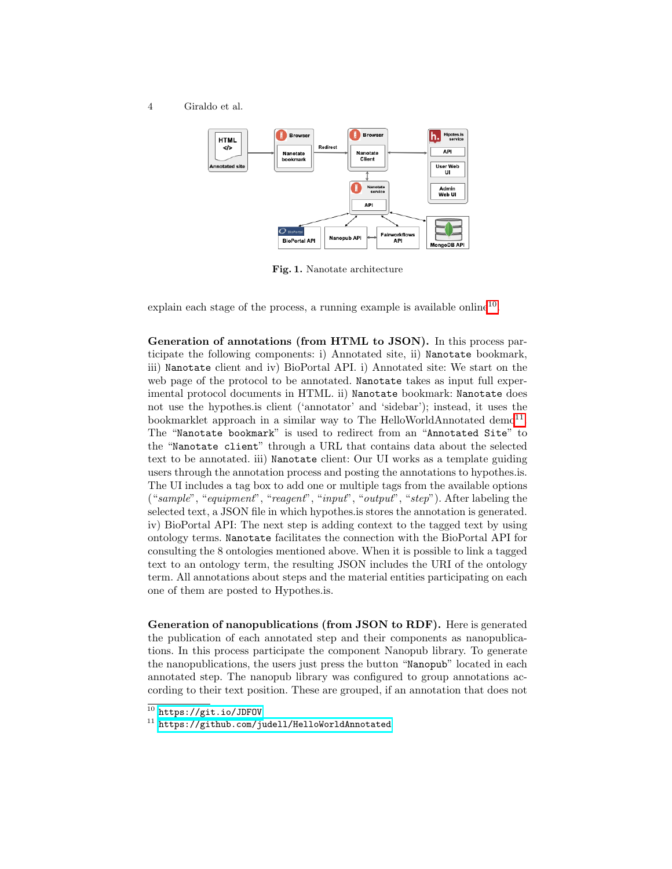4 Giraldo et al.



<span id="page-3-0"></span>Fig. 1. Nanotate architecture

explain each stage of the process, a running example is available online<sup>[10](#page-3-1)</sup>.

Generation of annotations (from HTML to JSON). In this process participate the following components: i) Annotated site, ii) Nanotate bookmark, iii) Nanotate client and iv) BioPortal API. i) Annotated site: We start on the web page of the protocol to be annotated. Nanotate takes as input full experimental protocol documents in HTML. ii) Nanotate bookmark: Nanotate does not use the hypothes.is client ('annotator' and 'sidebar'); instead, it uses the bookmarklet approach in a similar way to The HelloWorldAnnotated demo<sup>[11](#page-3-2)</sup> The "Nanotate bookmark" is used to redirect from an "Annotated Site" to the "Nanotate client" through a URL that contains data about the selected text to be annotated. iii) Nanotate client: Our UI works as a template guiding users through the annotation process and posting the annotations to hypothes.is. The UI includes a tag box to add one or multiple tags from the available options ("*sample*", "*equipment*", "*reagent*", "*input*", "*output*", "*step*"). After labeling the selected text, a JSON file in which hypothes.is stores the annotation is generated. iv) BioPortal API: The next step is adding context to the tagged text by using ontology terms. Nanotate facilitates the connection with the BioPortal API for consulting the 8 ontologies mentioned above. When it is possible to link a tagged text to an ontology term, the resulting JSON includes the URI of the ontology term. All annotations about steps and the material entities participating on each one of them are posted to Hypothes.is.

Generation of nanopublications (from JSON to RDF). Here is generated the publication of each annotated step and their components as nanopublications. In this process participate the component Nanopub library. To generate the nanopublications, the users just press the button "Nanopub" located in each annotated step. The nanopub library was configured to group annotations according to their text position. These are grouped, if an annotation that does not

<span id="page-3-2"></span>11 <https://github.com/judell/HelloWorldAnnotated>

<span id="page-3-1"></span><sup>10</sup> <https://git.io/JDFOV>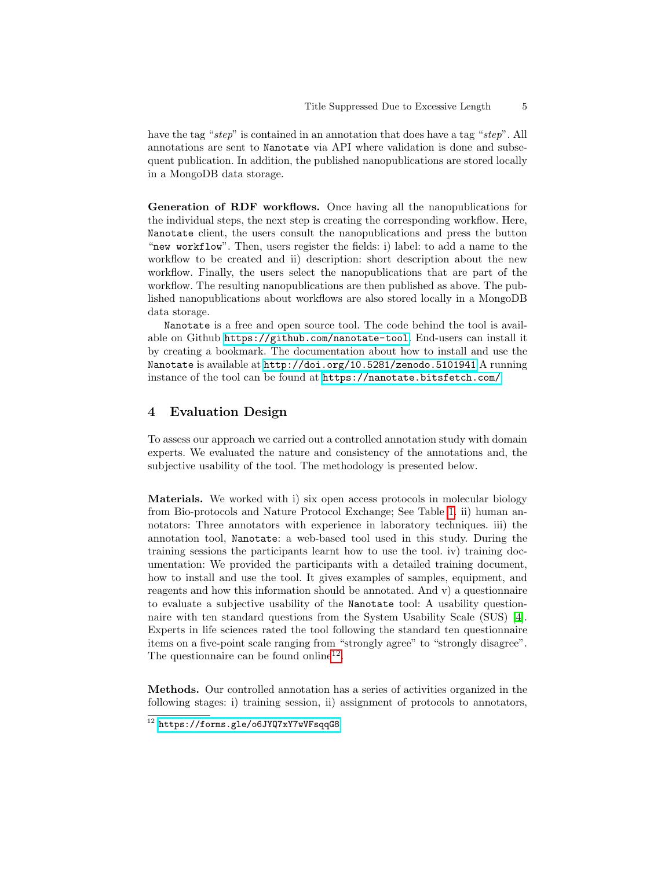have the tag "*step*" is contained in an annotation that does have a tag "*step*". All annotations are sent to Nanotate via API where validation is done and subsequent publication. In addition, the published nanopublications are stored locally in a MongoDB data storage.

Generation of RDF workflows. Once having all the nanopublications for the individual steps, the next step is creating the corresponding workflow. Here, Nanotate client, the users consult the nanopublications and press the button "new workflow". Then, users register the fields: i) label: to add a name to the workflow to be created and ii) description: short description about the new workflow. Finally, the users select the nanopublications that are part of the workflow. The resulting nanopublications are then published as above. The published nanopublications about workflows are also stored locally in a MongoDB data storage.

Nanotate is a free and open source tool. The code behind the tool is available on Github <https://github.com/nanotate-tool>. End-users can install it by creating a bookmark. The documentation about how to install and use the Nanotate is available at <http://doi.org/10.5281/zenodo.5101941> A running instance of the tool can be found at <https://nanotate.bitsfetch.com/>

# 4 Evaluation Design

To assess our approach we carried out a controlled annotation study with domain experts. We evaluated the nature and consistency of the annotations and, the subjective usability of the tool. The methodology is presented below.

Materials. We worked with i) six open access protocols in molecular biology from Bio-protocols and Nature Protocol Exchange; See Table  $\overline{\mathbb{1}}$  ii) human annotators: Three annotators with experience in laboratory techniques. iii) the annotation tool, Nanotate: a web-based tool used in this study. During the training sessions the participants learnt how to use the tool. iv) training documentation: We provided the participants with a detailed training document, how to install and use the tool. It gives examples of samples, equipment, and reagents and how this information should be annotated. And v) a questionnaire to evaluate a subjective usability of the Nanotate tool: A usability questionnaire with ten standard questions from the System Usability Scale (SUS) [\[4\]](#page-8-4). Experts in life sciences rated the tool following the standard ten questionnaire items on a five-point scale ranging from "strongly agree" to "strongly disagree". The questionnaire can be found online<sup>[12](#page-4-0)</sup>

Methods. Our controlled annotation has a series of activities organized in the following stages: i) training session, ii) assignment of protocols to annotators,

<span id="page-4-0"></span><sup>&</sup>lt;sup>12</sup> <https://forms.gle/o6JYQ7xY7wVFsqqG8>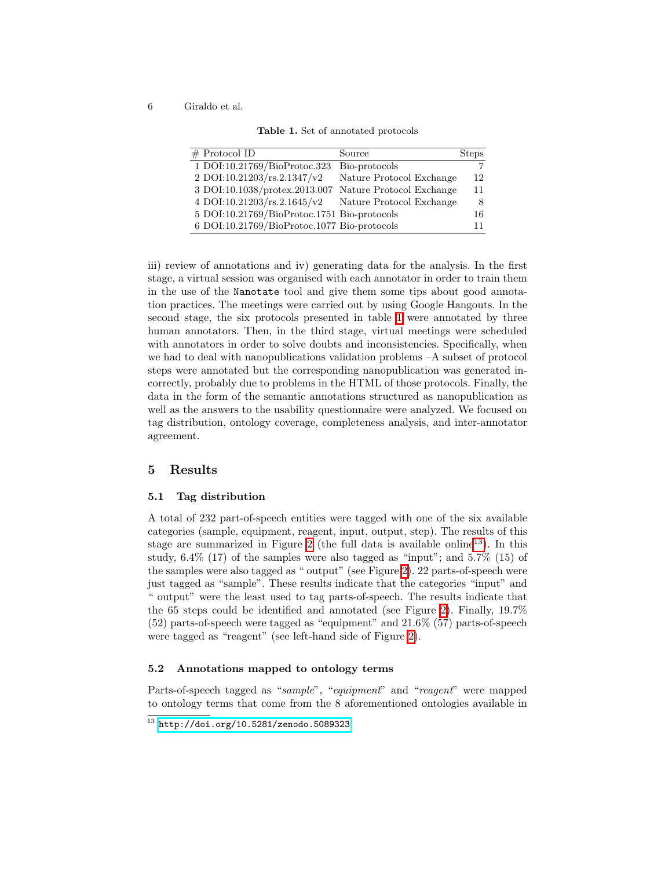6 Giraldo et al.

<span id="page-5-0"></span>Table 1. Set of annotated protocols

| $#$ Protocol ID<br>Source                     | <b>Steps</b>                   |
|-----------------------------------------------|--------------------------------|
| 1 DOI:10.21769/BioProtoc.323<br>Bio-protocols |                                |
| 2 DOI:10.21203/rs.2.1347/v2                   | Nature Protocol Exchange<br>12 |
| 3 DOI:10.1038/protex.2013.007                 | Nature Protocol Exchange<br>11 |
| 4 DOI:10.21203/rs.2.1645/v2                   | Nature Protocol Exchange<br>8  |
| 5 DOI:10.21769/BioProtoc.1751 Bio-protocols   | 16                             |
| 6 DOI:10.21769/BioProtoc.1077 Bio-protocols   | 11                             |

iii) review of annotations and iv) generating data for the analysis. In the first stage, a virtual session was organised with each annotator in order to train them in the use of the Nanotate tool and give them some tips about good annotation practices. The meetings were carried out by using Google Hangouts. In the second stage, the six protocols presented in table  $\overline{1}$  were annotated by three human annotators. Then, in the third stage, virtual meetings were scheduled with annotators in order to solve doubts and inconsistencies. Specifically, when we had to deal with nanopublications validation problems –A subset of protocol steps were annotated but the corresponding nanopublication was generated incorrectly, probably due to problems in the HTML of those protocols. Finally, the data in the form of the semantic annotations structured as nanopublication as well as the answers to the usability questionnaire were analyzed. We focused on tag distribution, ontology coverage, completeness analysis, and inter-annotator agreement.

## 5 Results

#### 5.1 Tag distribution

A total of 232 part-of-speech entities were tagged with one of the six available categories (sample, equipment, reagent, input, output, step). The results of this stage are summarized in Figure  $\sqrt{2}$  (the full data is available online<sup>[13](#page-5-1)</sup>). In this study,  $6.4\%$  (17) of the samples were also tagged as "input"; and  $5.7\%$  (15) of the samples were also tagged as " output" (see Figure  $\boxed{2}$ ). 22 parts-of-speech were just tagged as "sample". These results indicate that the categories "input" and " output" were the least used to tag parts-of-speech. The results indicate that the 65 steps could be identified and annotated (see Figure  $\boxed{2}$ ). Finally, 19.7% (52) parts-of-speech were tagged as "equipment" and 21.6% (57) parts-of-speech were tagged as "reagent" (see left-hand side of Figure [2\)](#page-6-0).

## 5.2 Annotations mapped to ontology terms

Parts-of-speech tagged as "*sample*", "*equipment*" and "*reagent*" were mapped to ontology terms that come from the 8 aforementioned ontologies available in

<span id="page-5-1"></span> $13$  <http://doi.org/10.5281/zenodo.5089323>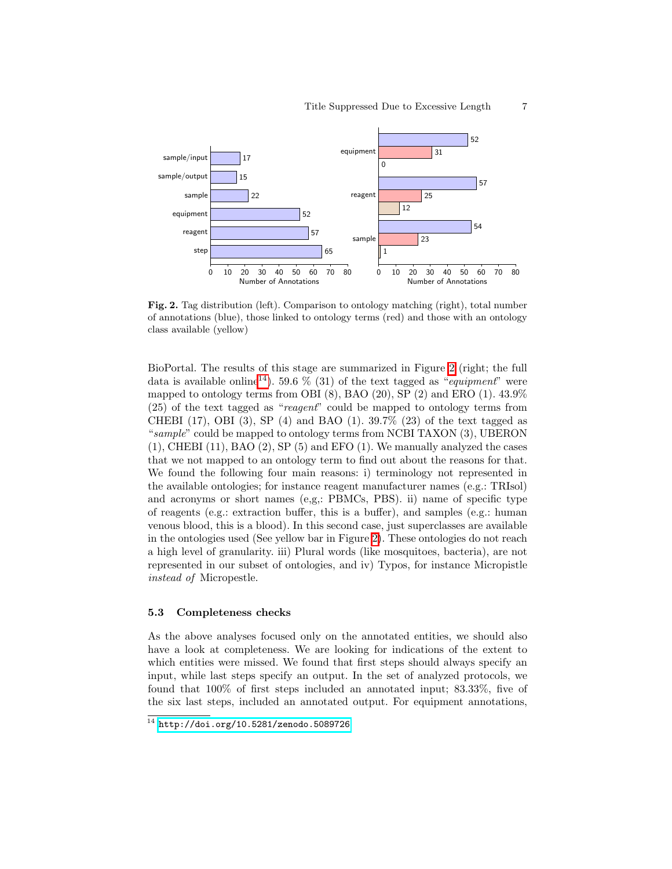

<span id="page-6-0"></span>Fig. 2. Tag distribution (left). Comparison to ontology matching (right), total number of annotations (blue), those linked to ontology terms (red) and those with an ontology class available (yellow)

BioPortal. The results of this stage are summarized in Figure  $\frac{2}{2}$  (right; the full data is available online<sup>[[14](#page-6-1)]</sup>. 59.6  $\%$  (31) of the text tagged as "*equipment*" were mapped to ontology terms from OBI  $(8)$ , BAO  $(20)$ , SP  $(2)$  and ERO  $(1)$ . 43.9% (25) of the text tagged as "*reagent*" could be mapped to ontology terms from CHEBI (17), OBI (3), SP (4) and BAO (1).  $39.7\%$  (23) of the text tagged as "*sample*" could be mapped to ontology terms from NCBI TAXON (3), UBERON  $(1)$ , CHEBI  $(11)$ , BAO  $(2)$ , SP  $(5)$  and EFO  $(1)$ . We manually analyzed the cases that we not mapped to an ontology term to find out about the reasons for that. We found the following four main reasons: i) terminology not represented in the available ontologies; for instance reagent manufacturer names (e.g.: TRIsol) and acronyms or short names (e,g,: PBMCs, PBS). ii) name of specific type of reagents (e.g.: extraction buffer, this is a buffer), and samples (e.g.: human venous blood, this is a blood). In this second case, just superclasses are available in the ontologies used (See yellow bar in Figure  $\boxed{2}$ ). These ontologies do not reach a high level of granularity. iii) Plural words (like mosquitoes, bacteria), are not represented in our subset of ontologies, and iv) Typos, for instance Micropistle *instead of* Micropestle.

#### 5.3 Completeness checks

As the above analyses focused only on the annotated entities, we should also have a look at completeness. We are looking for indications of the extent to which entities were missed. We found that first steps should always specify an input, while last steps specify an output. In the set of analyzed protocols, we found that 100% of first steps included an annotated input; 83.33%, five of the six last steps, included an annotated output. For equipment annotations,

<span id="page-6-1"></span><sup>14</sup> <http://doi.org/10.5281/zenodo.5089726>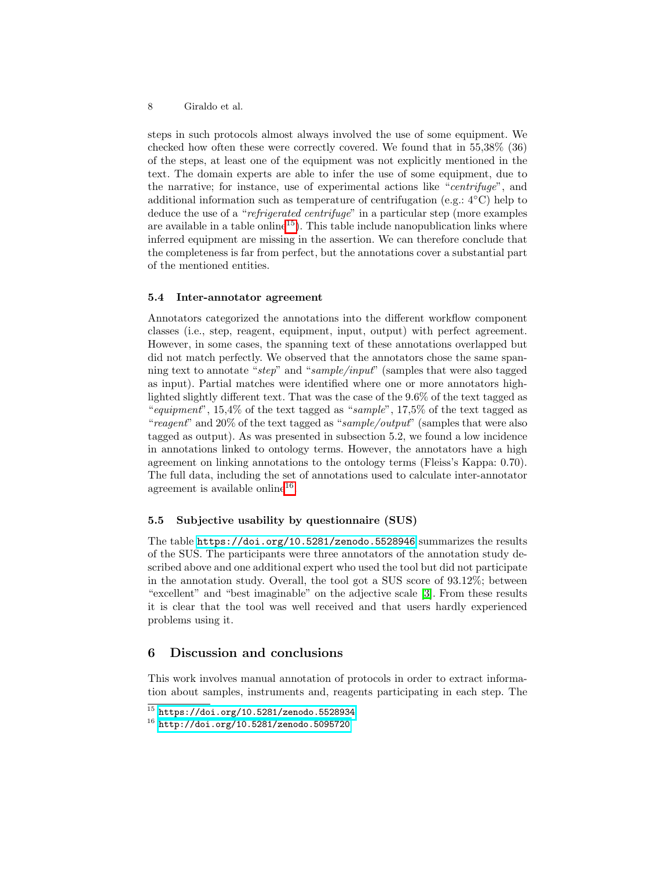#### 8 Giraldo et al.

steps in such protocols almost always involved the use of some equipment. We checked how often these were correctly covered. We found that in 55,38% (36) of the steps, at least one of the equipment was not explicitly mentioned in the text. The domain experts are able to infer the use of some equipment, due to the narrative; for instance, use of experimental actions like "*centrifuge*", and additional information such as temperature of centrifugation (e.g.:  $4^{\circ}$ C) help to deduce the use of a "*refrigerated centrifuge*" in a particular step (more examples are available in a table online<sup> $15$ </sup>. This table include nanopublication links where inferred equipment are missing in the assertion. We can therefore conclude that the completeness is far from perfect, but the annotations cover a substantial part of the mentioned entities.

#### 5.4 Inter-annotator agreement

Annotators categorized the annotations into the different workflow component classes (i.e., step, reagent, equipment, input, output) with perfect agreement. However, in some cases, the spanning text of these annotations overlapped but did not match perfectly. We observed that the annotators chose the same spanning text to annotate "*step*" and "*sample/input*" (samples that were also tagged as input). Partial matches were identified where one or more annotators highlighted slightly different text. That was the case of the  $9.6\%$  of the text tagged as "*equipment*", 15,4% of the text tagged as "*sample*", 17,5% of the text tagged as "*reagent*" and 20% of the text tagged as "*sample/output*" (samples that were also tagged as output). As was presented in subsection 5.2, we found a low incidence in annotations linked to ontology terms. However, the annotators have a high agreement on linking annotations to the ontology terms (Fleiss's Kappa: 0.70). The full data, including the set of annotations used to calculate inter-annotator agreement is available online<sup>[16](#page-7-1)</sup>

## 5.5 Subjective usability by questionnaire (SUS)

The table  $\frac{https://doi.org/10.5281/zenodo.5528946}{https://doi.org/10.5281/zenodo.5528946}$  $\frac{https://doi.org/10.5281/zenodo.5528946}{https://doi.org/10.5281/zenodo.5528946}$  $\frac{https://doi.org/10.5281/zenodo.5528946}{https://doi.org/10.5281/zenodo.5528946}$  summarizes the results of the SUS. The participants were three annotators of the annotation study described above and one additional expert who used the tool but did not participate in the annotation study. Overall, the tool got a SUS score of 93.12%; between "excellent" and "best imaginable" on the adjective scale [\[3\]](#page-8-5). From these results it is clear that the tool was well received and that users hardly experienced problems using it.

# 6 Discussion and conclusions

This work involves manual annotation of protocols in order to extract information about samples, instruments and, reagents participating in each step. The

<span id="page-7-0"></span> $^{15}$  <https://doi.org/10.5281/zenodo.5528934>

<span id="page-7-1"></span><sup>16</sup> <http://doi.org/10.5281/zenodo.5095720>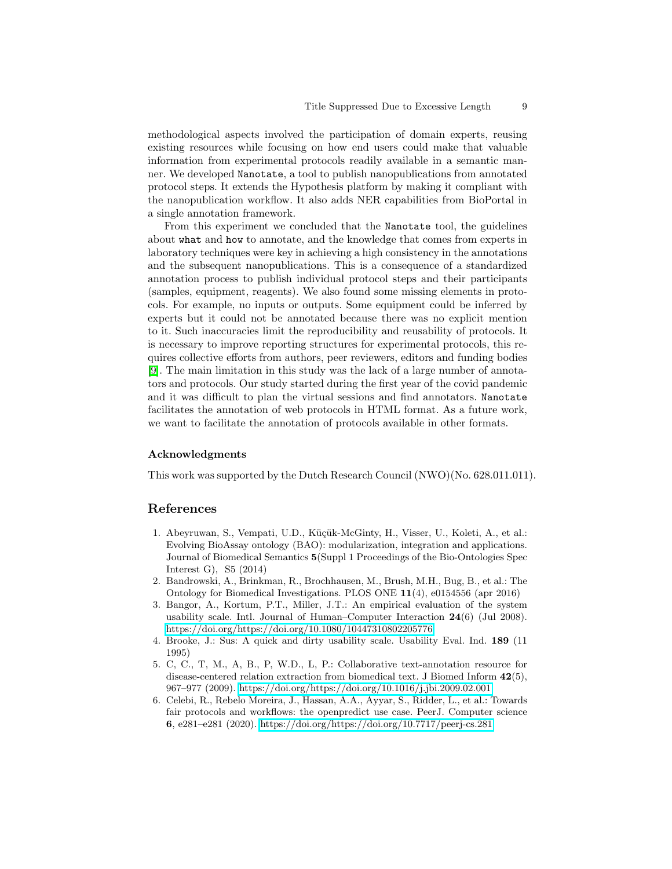methodological aspects involved the participation of domain experts, reusing existing resources while focusing on how end users could make that valuable information from experimental protocols readily available in a semantic manner. We developed Nanotate, a tool to publish nanopublications from annotated protocol steps. It extends the Hypothesis platform by making it compliant with the nanopublication workflow. It also adds NER capabilities from BioPortal in a single annotation framework.

From this experiment we concluded that the Nanotate tool, the guidelines about what and how to annotate, and the knowledge that comes from experts in laboratory techniques were key in achieving a high consistency in the annotations and the subsequent nanopublications. This is a consequence of a standardized annotation process to publish individual protocol steps and their participants (samples, equipment, reagents). We also found some missing elements in protocols. For example, no inputs or outputs. Some equipment could be inferred by experts but it could not be annotated because there was no explicit mention to it. Such inaccuracies limit the reproducibility and reusability of protocols. It is necessary to improve reporting structures for experimental protocols, this requires collective efforts from authors, peer reviewers, editors and funding bodies [\[9\]](#page-9-6). The main limitation in this study was the lack of a large number of annotators and protocols. Our study started during the first year of the covid pandemic and it was difficult to plan the virtual sessions and find annotators. Nanotate facilitates the annotation of web protocols in HTML format. As a future work, we want to facilitate the annotation of protocols available in other formats.

## Acknowledgments

This work was supported by the Dutch Research Council (NWO)(No. 628.011.011).

## References

- <span id="page-8-3"></span>1. Abeyruwan, S., Vempati, U.D., Kücük-McGinty, H., Visser, U., Koleti, A., et al.; Evolving BioAssay ontology (BAO): modularization, integration and applications. Journal of Biomedical Semantics 5(Suppl 1 Proceedings of the Bio-Ontologies Spec Interest G), S5 (2014)
- <span id="page-8-2"></span>2. Bandrowski, A., Brinkman, R., Brochhausen, M., Brush, M.H., Bug, B., et al.: The Ontology for Biomedical Investigations. PLOS ONE 11(4), e0154556 (apr 2016)
- <span id="page-8-5"></span>3. Bangor, A., Kortum, P.T., Miller, J.T.: An empirical evaluation of the system usability scale. Intl. Journal of Human–Computer Interaction 24(6) (Jul 2008). <https://doi.org/https://doi.org/10.1080/10447310802205776>
- <span id="page-8-4"></span>4. Brooke, J.: Sus: A quick and dirty usability scale. Usability Eval. Ind. 189 (11 1995)
- <span id="page-8-1"></span>5. C, C., T, M., A, B., P, W.D., L, P.: Collaborative text-annotation resource for disease-centered relation extraction from biomedical text. J Biomed Inform 42(5), 967–977 (2009).<https://doi.org/https://doi.org/10.1016/j.jbi.2009.02.001>
- <span id="page-8-0"></span>6. Celebi, R., Rebelo Moreira, J., Hassan, A.A., Ayyar, S., Ridder, L., et al.: Towards fair protocols and workflows: the openpredict use case. PeerJ. Computer science 6, e281–e281 (2020).<https://doi.org/https://doi.org/10.7717/peerj-cs.281>